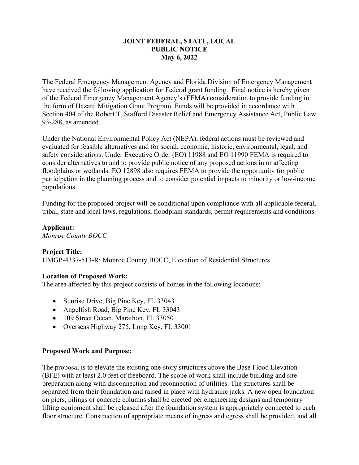#### **JOINT FEDERAL, STATE, LOCAL PUBLIC NOTICE May 6, 2022**

The Federal Emergency Management Agency and Florida Division of Emergency Management have received the following application for Federal grant funding. Final notice is hereby given of the Federal Emergency Management Agency's (FEMA) consideration to provide funding in the form of Hazard Mitigation Grant Program. Funds will be provided in accordance with Section 404 of the Robert T. Stafford Disaster Relief and Emergency Assistance Act, Public Law 93-288, as amended.

Under the National Environmental Policy Act (NEPA), federal actions must be reviewed and evaluated for feasible alternatives and for social, economic, historic, environmental, legal, and safety considerations. Under Executive Order (EO) 11988 and EO 11990 FEMA is required to consider alternatives to and to provide public notice of any proposed actions in or affecting floodplains or wetlands. EO 12898 also requires FEMA to provide the opportunity for public participation in the planning process and to consider potential impacts to minority or low-income populations.

Funding for the proposed project will be conditional upon compliance with all applicable federal, tribal, state and local laws, regulations, floodplain standards, permit requirements and conditions.

# **Applicant:**

*Monroe County BOCC*

## **Project Title:**

HMGP-4337-513-R: Monroe County BOCC, Elevation of Residential Structures

## **Location of Proposed Work:**

The area affected by this project consists of homes in the following locations:

- Sunrise Drive, Big Pine Key, FL 33043
- Angelfish Road, Big Pine Key, FL 33043
- 109 Street Ocean, Marathon, FL 33050
- Overseas Highway 275, Long Key, FL 33001

## **Proposed Work and Purpose:**

The proposal is to elevate the existing one-story structures above the Base Flood Elevation (BFE) with at least 2.0 feet of freeboard. The scope of work shall include building and site preparation along with disconnection and reconnection of utilities. The structures shall be separated from their foundation and raised in place with hydraulic jacks. A new open foundation on piers, pilings or concrete columns shall be erected per engineering designs and temporary lifting equipment shall be released after the foundation system is appropriately connected to each floor structure. Construction of appropriate means of ingress and egress shall be provided, and all